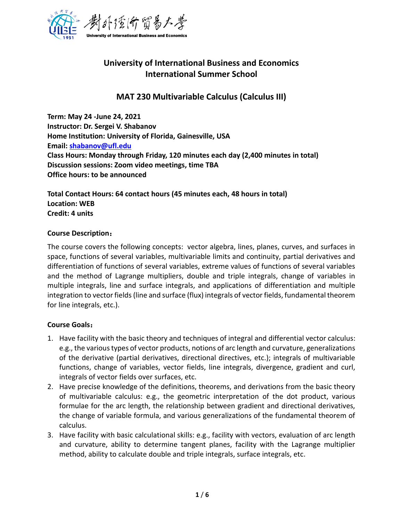

# **University of International Business and Economics International Summer School**

# **MAT 230 Multivariable Calculus (Calculus III)**

**Term: May 24 -June 24, 2021 Instructor: Dr. Sergei V. Shabanov Home Institution: University of Florida, Gainesville, USA Email: [shabanov@ufl.edu](mailto:shabanov@ufl.edu) Class Hours: Monday through Friday, 120 minutes each day (2,400 minutes in total) Discussion sessions: Zoom video meetings, time TBA Office hours: to be announced**

**Total Contact Hours: 64 contact hours (45 minutes each, 48 hours in total) Location: WEB Credit: 4 units**

## **Course Description**:

The course covers the following concepts: vector algebra, lines, planes, curves, and surfaces in space, functions of several variables, multivariable limits and continuity, partial derivatives and differentiation of functions of several variables, extreme values of functions of several variables and the method of Lagrange multipliers, double and triple integrals, change of variables in multiple integrals, line and surface integrals, and applications of differentiation and multiple integration to vector fields (line and surface (flux) integrals of vector fields, fundamental theorem for line integrals, etc.).

# **Course Goals**:

- 1. Have facility with the basic theory and techniques of integral and differential vector calculus: e.g., the various types of vector products, notions of arc length and curvature, generalizations of the derivative (partial derivatives, directional directives, etc.); integrals of multivariable functions, change of variables, vector fields, line integrals, divergence, gradient and curl, integrals of vector fields over surfaces, etc.
- 2. Have precise knowledge of the definitions, theorems, and derivations from the basic theory of multivariable calculus: e.g., the geometric interpretation of the dot product, various formulae for the arc length, the relationship between gradient and directional derivatives, the change of variable formula, and various generalizations of the fundamental theorem of calculus.
- 3. Have facility with basic calculational skills: e.g., facility with vectors, evaluation of arc length and curvature, ability to determine tangent planes, facility with the Lagrange multiplier method, ability to calculate double and triple integrals, surface integrals, etc.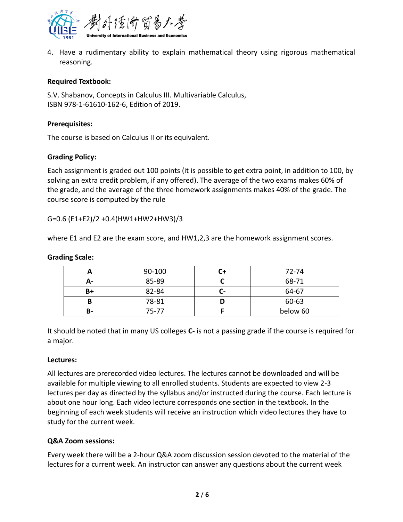

4. Have a rudimentary ability to explain mathematical theory using rigorous mathematical reasoning.

# **Required Textbook:**

S.V. Shabanov, Concepts in Calculus III. Multivariable Calculus, ISBN 978-1-61610-162-6, Edition of 2019.

## **Prerequisites:**

The course is based on Calculus II or its equivalent.

## **Grading Policy:**

Each assignment is graded out 100 points (it is possible to get extra point, in addition to 100, by solving an extra credit problem, if any offered). The average of the two exams makes 60% of the grade, and the average of the three homework assignments makes 40% of the grade. The course score is computed by the rule

G=0.6 (E1+E2)/2 +0.4(HW1+HW2+HW3)/3

where E1 and E2 are the exam score, and HW1,2,3 are the homework assignment scores.

## **Grading Scale:**

|           | 90-100 |     | 72-74    |
|-----------|--------|-----|----------|
| А-        | 85-89  |     | 68-71    |
| B+        | 82-84  | - 1 | 64-67    |
| в         | 78-81  |     | 60-63    |
| <b>B-</b> | 75-77  |     | below 60 |

It should be noted that in many US colleges **C-** is not a passing grade if the course is required for a major.

#### **Lectures:**

All lectures are prerecorded video lectures. The lectures cannot be downloaded and will be available for multiple viewing to all enrolled students. Students are expected to view 2-3 lectures per day as directed by the syllabus and/or instructed during the course. Each lecture is about one hour long. Each video lecture corresponds one section in the textbook. In the beginning of each week students will receive an instruction which video lectures they have to study for the current week.

#### **Q&A Zoom sessions:**

Every week there will be a 2-hour Q&A zoom discussion session devoted to the material of the lectures for a current week. An instructor can answer any questions about the current week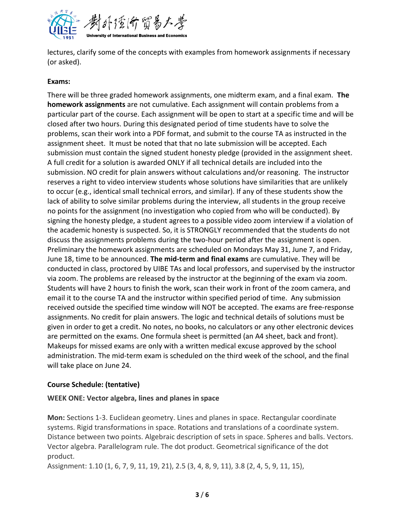

lectures, clarify some of the concepts with examples from homework assignments if necessary (or asked).

# **Exams:**

There will be three graded homework assignments, one midterm exam, and a final exam. **The homework assignments** are not cumulative. Each assignment will contain problems from a particular part of the course. Each assignment will be open to start at a specific time and will be closed after two hours. During this designated period of time students have to solve the problems, scan their work into a PDF format, and submit to the course TA as instructed in the assignment sheet. It must be noted that that no late submission will be accepted. Each submission must contain the signed student honesty pledge (provided in the assignment sheet. A full credit for a solution is awarded ONLY if all technical details are included into the submission. NO credit for plain answers without calculations and/or reasoning. The instructor reserves a right to video interview students whose solutions have similarities that are unlikely to occur (e.g., identical small technical errors, and similar). If any of these students show the lack of ability to solve similar problems during the interview, all students in the group receive no points for the assignment (no investigation who copied from who will be conducted). By signing the honesty pledge, a student agrees to a possible video zoom interview if a violation of the academic honesty is suspected. So, it is STRONGLY recommended that the students do not discuss the assignments problems during the two-hour period after the assignment is open. Preliminary the homework assignments are scheduled on Mondays May 31, June 7, and Friday, June 18, time to be announced. **The mid-term and final exams** are cumulative. They will be conducted in class, proctored by UIBE TAs and local professors, and supervised by the instructor via zoom. The problems are released by the instructor at the beginning of the exam via zoom. Students will have 2 hours to finish the work, scan their work in front of the zoom camera, and email it to the course TA and the instructor within specified period of time. Any submission received outside the specified time window will NOT be accepted. The exams are free-response assignments. No credit for plain answers. The logic and technical details of solutions must be given in order to get a credit. No notes, no books, no calculators or any other electronic devices are permitted on the exams. One formula sheet is permitted (an A4 sheet, back and front). Makeups for missed exams are only with a written medical excuse approved by the school administration. The mid-term exam is scheduled on the third week of the school, and the final will take place on June 24.

# **Course Schedule: (tentative)**

# **WEEK ONE: Vector algebra, lines and planes in space**

**Mon:** Sections 1-3. Euclidean geometry. Lines and planes in space. Rectangular coordinate systems. Rigid transformations in space. Rotations and translations of a coordinate system. Distance between two points. Algebraic description of sets in space. Spheres and balls. Vectors. Vector algebra. Parallelogram rule. The dot product. Geometrical significance of the dot product.

Assignment: 1.10 (1, 6, 7, 9, 11, 19, 21), 2.5 (3, 4, 8, 9, 11), 3.8 (2, 4, 5, 9, 11, 15),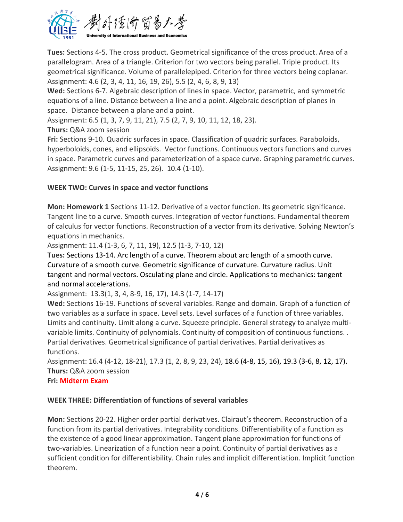

**Tues:** Sections 4-5. The cross product. Geometrical significance of the cross product. Area of a parallelogram. Area of a triangle. Criterion for two vectors being parallel. Triple product. Its geometrical significance. Volume of parallelepiped. Criterion for three vectors being coplanar. Assignment: 4.6 (2, 3, 4, 11, 16, 19, 26), 5.5 (2, 4, 6, 8, 9, 13)

**Wed:** Sections 6-7. Algebraic description of lines in space. Vector, parametric, and symmetric equations of a line. Distance between a line and a point. Algebraic description of planes in space. Distance between a plane and a point.

Assignment: 6.5 (1, 3, 7, 9, 11, 21), 7.5 (2, 7, 9, 10, 11, 12, 18, 23).

**Thurs:** Q&A zoom session

**Fri:** Sections 9-10. Quadric surfaces in space. Classification of quadric surfaces. Paraboloids, hyperboloids, cones, and ellipsoids. Vector functions. Continuous vectors functions and curves in space. Parametric curves and parameterization of a space curve. Graphing parametric curves. Assignment: 9.6 (1-5, 11-15, 25, 26). 10.4 (1-10).

# **WEEK TWO: Curves in space and vector functions**

**Mon: Homework 1** Sections 11-12. Derivative of a vector function. Its geometric significance. Tangent line to a curve. Smooth curves. Integration of vector functions. Fundamental theorem of calculus for vector functions. Reconstruction of a vector from its derivative. Solving Newton's equations in mechanics.

Assignment: 11.4 (1-3, 6, 7, 11, 19), 12.5 (1-3, 7-10, 12)

**Tues:** Sections 13-14. Arc length of a curve. Theorem about arc length of a smooth curve. Curvature of a smooth curve. Geometric significance of curvature. Curvature radius. Unit tangent and normal vectors. Osculating plane and circle. Applications to mechanics: tangent and normal accelerations.

Assignment: 13.3(1, 3, 4, 8-9, 16, 17), 14.3 (1-7, 14-17)

**Wed:** Sections 16-19. Functions of several variables. Range and domain. Graph of a function of two variables as a surface in space. Level sets. Level surfaces of a function of three variables. Limits and continuity. Limit along a curve. Squeeze principle. General strategy to analyze multivariable limits. Continuity of polynomials. Continuity of composition of continuous functions. . Partial derivatives. Geometrical significance of partial derivatives. Partial derivatives as functions.

Assignment: 16.4 (4-12, 18-21), 17.3 (1, 2, 8, 9, 23, 24), 18.6 (4-8, 15, 16), 19.3 (3-6, 8, 12, 17). **Thurs:** Q&A zoom session

**Fri: Midterm Exam**

# **WEEK THREE: Differentiation of functions of several variables**

**Mon:** Sections 20-22. Higher order partial derivatives. Clairaut's theorem. Reconstruction of a function from its partial derivatives. Integrability conditions. Differentiability of a function as the existence of a good linear approximation. Tangent plane approximation for functions of two-variables. Linearization of a function near a point. Continuity of partial derivatives as a sufficient condition for differentiability. Chain rules and implicit differentiation. Implicit function theorem.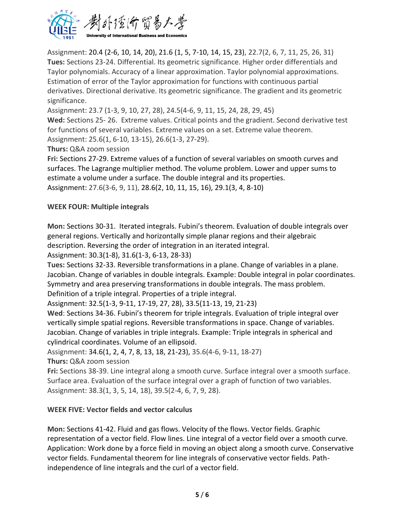

Assignment: 20.4 (2-6, 10, 14, 20), 21.6 (1, 5, 7-10, 14, 15, 23), 22.7(2, 6, 7, 11, 25, 26, 31) **Tues:** Sections 23-24. Differential. Its geometric significance. Higher order differentials and Taylor polynomials. Accuracy of a linear approximation. Taylor polynomial approximations. Estimation of error of the Taylor approximation for functions with continuous partial derivatives. Directional derivative. Its geometric significance. The gradient and its geometric significance.

Assignment: 23.7 (1-3, 9, 10, 27, 28), 24.5(4-6, 9, 11, 15, 24, 28, 29, 45)

**Wed:** Sections 25- 26. Extreme values. Critical points and the gradient. Second derivative test for functions of several variables. Extreme values on a set. Extreme value theorem.

Assignment: 25.6(1, 6-10, 13-15), 26.6(1-3, 27-29).

**Thurs:** Q&A zoom session

**Fri:** Sections 27-29. Extreme values of a function of several variables on smooth curves and surfaces. The Lagrange multiplier method. The volume problem. Lower and upper sums to estimate a volume under a surface. The double integral and its properties. Assignment: 27.6(3-6, 9, 11), 28.6(2, 10, 11, 15, 16), 29.1(3, 4, 8-10)

# **WEEK FOUR: Multiple integrals**

**Mon:** Sections 30-31. Iterated integrals. Fubini's theorem. Evaluation of double integrals over general regions. Vertically and horizontally simple planar regions and their algebraic description. Reversing the order of integration in an iterated integral.

Assignment: 30.3(1-8), 31.6(1-3, 6-13, 28-33)

**Tues:** Sections 32-33. Reversible transformations in a plane. Change of variables in a plane. Jacobian. Change of variables in double integrals. Example: Double integral in polar coordinates. Symmetry and area preserving transformations in double integrals. The mass problem. Definition of a triple integral. Properties of a triple integral.

Assignment: 32.5(1-3, 9-11, 17-19, 27, 28), 33.5(11-13, 19, 21-23)

**Wed**: Sections 34-36. Fubini's theorem for triple integrals. Evaluation of triple integral over vertically simple spatial regions. Reversible transformations in space. Change of variables. Jacobian. Change of variables in triple integrals. Example: Triple integrals in spherical and cylindrical coordinates. Volume of an ellipsoid.

Assignment: 34.6(1, 2, 4, 7, 8, 13, 18, 21-23), 35.6(4-6, 9-11, 18-27)

**Thurs:** Q&A zoom session

**Fri:** Sections 38-39. Line integral along a smooth curve. Surface integral over a smooth surface. Surface area. Evaluation of the surface integral over a graph of function of two variables. Assignment: 38.3(1, 3, 5, 14, 18), 39.5(2-4, 6, 7, 9, 28).

# **WEEK FIVE: Vector fields and vector calculus**

**Mon:** Sections 41-42. Fluid and gas flows. Velocity of the flows. Vector fields. Graphic representation of a vector field. Flow lines. Line integral of a vector field over a smooth curve. Application: Work done by a force field in moving an object along a smooth curve. Conservative vector fields. Fundamental theorem for line integrals of conservative vector fields. Pathindependence of line integrals and the curl of a vector field.